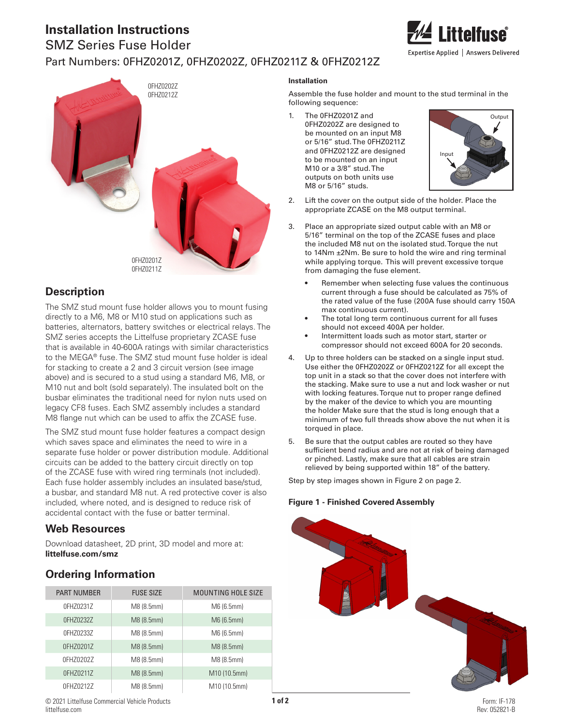## **Installation Instructions**

# SMZ Series Fuse Holder Part Numbers: 0FHZ0201Z, 0FHZ0202Z, 0FHZ0211Z & 0FHZ0212Z



## **Description**

The SMZ stud mount fuse holder allows you to mount fusing directly to a M6, M8 or M10 stud on applications such as batteries, alternators, battery switches or electrical relays. The SMZ series accepts the Littelfuse proprietary ZCASE fuse that is available in 40-600A ratings with similar characteristics to the MEGA® fuse. The SMZ stud mount fuse holder is ideal for stacking to create a 2 and 3 circuit version (see image above) and is secured to a stud using a standard M6, M8, or M10 nut and bolt (sold separately). The insulated bolt on the busbar eliminates the traditional need for nylon nuts used on legacy CF8 fuses. Each SMZ assembly includes a standard M8 flange nut which can be used to affix the ZCASE fuse.

The SMZ stud mount fuse holder features a compact design which saves space and eliminates the need to wire in a separate fuse holder or power distribution module. Additional circuits can be added to the battery circuit directly on top of the ZCASE fuse with wired ring terminals (not included). Each fuse holder assembly includes an insulated base/stud, a busbar, and standard M8 nut. A red protective cover is also included, where noted, and is designed to reduce risk of accidental contact with the fuse or batter terminal.

### **Web Resources**

Download datasheet, 2D print, 3D model and more at: **littelfuse.com/smz**

## **Ordering Information**

| <b>PART NUMBER</b> | <b>FUSE SIZE</b> | <b>MOUNTING HOLE SIZE</b> |
|--------------------|------------------|---------------------------|
| 0FHZ0231Z          | M8 (8.5mm)       | M6 (6.5mm)                |
| 0FHZ0232Z          | M8 (8.5mm)       | M6 (6.5mm)                |
| 0FHZ0233Z          | M8 (8.5mm)       | M6 (6.5mm)                |
| 0FHZ0201Z          | M8 (8.5mm)       | M8 (8.5mm)                |
| 0FHZ0202Z          | M8 (8.5mm)       | M8 (8.5mm)                |
| 0FHZ0211Z          | M8 (8.5mm)       | M10 (10.5mm)              |
| 0FHZ0212Z          | M8 (8.5mm)       | M10 (10.5mm)              |

#### **Installation**

Assemble the fuse holder and mount to the stud terminal in the following sequence:

1. be mounted on an input M8 The 0FHZ0201Z and Output 0FHZ0202Z are designed to or 5/16" stud. The 0FHZ0211Z and 0FHZ0212Z are designed to be mounted on an input M10 or a 3/8" stud. The outputs on both units use M8 or 5/16" studs.



- 2. Lift the cover on the output side of the holder. Place the appropriate ZCASE on the M8 output terminal.
- 3. Place an appropriate sized output cable with an M8 or 5/16" terminal on the top of the ZCASE fuses and place the included M8 nut on the isolated stud. Torque the nut to 14Nm ±2Nm. Be sure to hold the wire and ring terminal while applying torque. This will prevent excessive torque from damaging the fuse element.
	- Remember when selecting fuse values the continuous current through a fuse should be calculated as 75% of the rated value of the fuse (200A fuse should carry 150A max continuous current).
	- The total long term continuous current for all fuses should not exceed 400A per holder.
	- Intermittent loads such as motor start, starter or compressor should not exceed 600A for 20 seconds.
- 4. Up to three holders can be stacked on a single input stud. Use either the 0FHZ0202Z or 0FHZ0212Z for all except the top unit in a stack so that the cover does not interfere with the stacking. Make sure to use a nut and lock washer or nut with locking features. Torque nut to proper range defined by the maker of the device to which you are mounting the holder Make sure that the stud is long enough that a minimum of two full threads show above the nut when it is torqued in place.
- 5. Be sure that the output cables are routed so they have sufficient bend radius and are not at risk of being damaged or pinched. Lastly, make sure that all cables are strain relieved by being supported within 18" of the battery.

Step by step images shown in Figure 2 on page 2.

### **Figure 1 - Finished Covered Assembly**